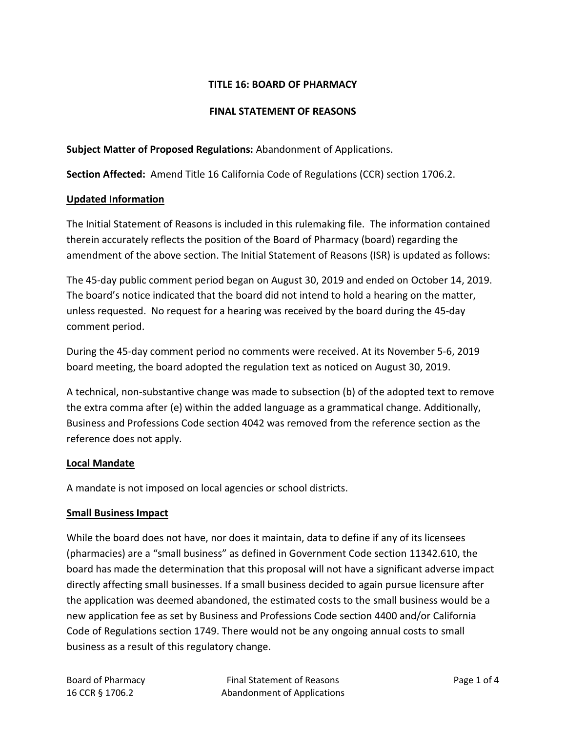## **TITLE 16: BOARD OF PHARMACY**

#### **FINAL STATEMENT OF REASONS**

**Subject Matter of Proposed Regulations:** Abandonment of Applications.

**Section Affected:** Amend Title 16 California Code of Regulations (CCR) section 1706.2.

#### **Updated Information**

The Initial Statement of Reasons is included in this rulemaking file. The information contained therein accurately reflects the position of the Board of Pharmacy (board) regarding the amendment of the above section. The Initial Statement of Reasons (ISR) is updated as follows:

The 45-day public comment period began on August 30, 2019 and ended on October 14, 2019. The board's notice indicated that the board did not intend to hold a hearing on the matter, unless requested. No request for a hearing was received by the board during the 45-day comment period.

During the 45-day comment period no comments were received. At its November 5-6, 2019 board meeting, the board adopted the regulation text as noticed on August 30, 2019.

A technical, non-substantive change was made to subsection (b) of the adopted text to remove the extra comma after (e) within the added language as a grammatical change. Additionally, Business and Professions Code section 4042 was removed from the reference section as the reference does not apply.

#### **Local Mandate**

A mandate is not imposed on local agencies or school districts.

#### **Small Business Impact**

While the board does not have, nor does it maintain, data to define if any of its licensees (pharmacies) are a "small business" as defined in Government Code section 11342.610, the board has made the determination that this proposal will not have a significant adverse impact directly affecting small businesses. If a small business decided to again pursue licensure after the application was deemed abandoned, the estimated costs to the small business would be a new application fee as set by Business and Professions Code section 4400 and/or California Code of Regulations section 1749. There would not be any ongoing annual costs to small business as a result of this regulatory change.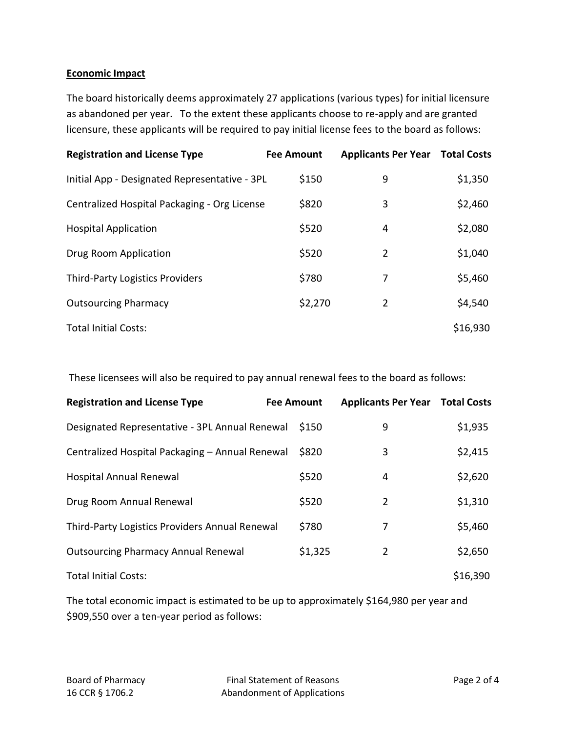## **Economic Impact**

The board historically deems approximately 27 applications (various types) for initial licensure as abandoned per year. To the extent these applicants choose to re-apply and are granted licensure, these applicants will be required to pay initial license fees to the board as follows:

| <b>Registration and License Type</b>          | <b>Fee Amount</b> | <b>Applicants Per Year Total Costs</b> |          |
|-----------------------------------------------|-------------------|----------------------------------------|----------|
| Initial App - Designated Representative - 3PL | \$150             | 9                                      | \$1,350  |
| Centralized Hospital Packaging - Org License  | \$820             | 3                                      | \$2,460  |
| <b>Hospital Application</b>                   | \$520             | 4                                      | \$2,080  |
| Drug Room Application                         | \$520             | 2                                      | \$1,040  |
| <b>Third-Party Logistics Providers</b>        | \$780             | 7                                      | \$5,460  |
| <b>Outsourcing Pharmacy</b>                   | \$2,270           | $\overline{2}$                         | \$4,540  |
| <b>Total Initial Costs:</b>                   |                   |                                        | \$16,930 |

These licensees will also be required to pay annual renewal fees to the board as follows:

| <b>Registration and License Type</b>            | <b>Fee Amount</b> |         | <b>Applicants Per Year Total Costs</b> |          |
|-------------------------------------------------|-------------------|---------|----------------------------------------|----------|
| Designated Representative - 3PL Annual Renewal  |                   | \$150   | 9                                      | \$1,935  |
| Centralized Hospital Packaging - Annual Renewal |                   | \$820   | 3                                      | \$2,415  |
| Hospital Annual Renewal                         |                   | \$520   | 4                                      | \$2,620  |
| Drug Room Annual Renewal                        |                   | \$520   | 2                                      | \$1,310  |
| Third-Party Logistics Providers Annual Renewal  |                   | \$780   | 7                                      | \$5,460  |
| <b>Outsourcing Pharmacy Annual Renewal</b>      |                   | \$1,325 | $\overline{2}$                         | \$2,650  |
| <b>Total Initial Costs:</b>                     |                   |         |                                        | \$16,390 |

The total economic impact is estimated to be up to approximately \$164,980 per year and \$909,550 over a ten-year period as follows: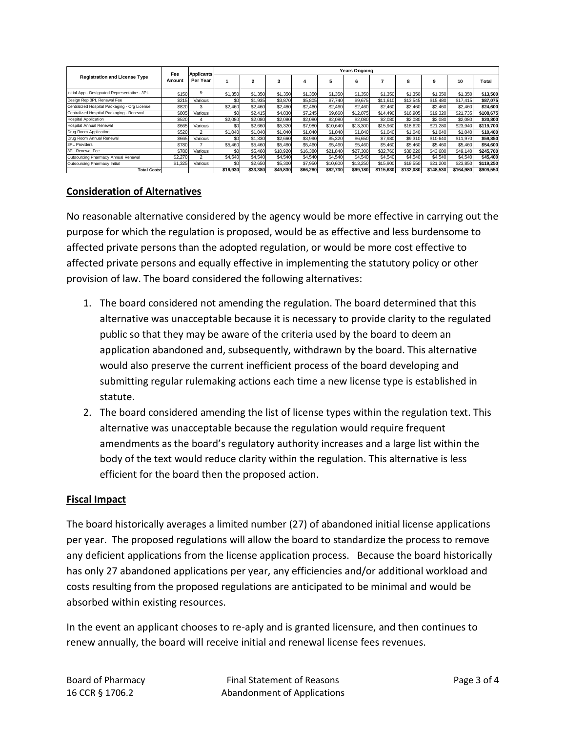| <b>Registration and License Type</b>          | Fee<br>Amount | <b>Applicants</b><br>Per Year | <b>Years Ongoing</b> |          |          |          |          |          |           |           |           |           |           |
|-----------------------------------------------|---------------|-------------------------------|----------------------|----------|----------|----------|----------|----------|-----------|-----------|-----------|-----------|-----------|
|                                               |               |                               |                      | 2        | 3        |          | 5        | 6        |           |           | 9         | 10        | Total     |
| Initial App - Designated Representative - 3PL | \$150         | 9                             | \$1,350              | \$1,350  | \$1,350  | \$1,350  | \$1,350  | \$1,350  | \$1,350   | \$1,350   | \$1,350   | \$1,350   | \$13,500  |
| Design Rep 3PL Renewal Fee                    | \$215         | Various                       | \$0                  | \$1,935  | \$3,870  | \$5,805  | \$7,740  | \$9,675  | \$11,610  | \$13,545  | \$15,480  | \$17.415  | \$87,075  |
| Centralized Hospital Packaging - Org License  | \$820         | 3                             | \$2,460              | \$2,460  | \$2,460  | \$2,460  | \$2,460  | \$2,460  | \$2,460   | \$2,460   | \$2,460   | \$2,460   | \$24,600  |
| Centralized Hospital Packaging - Renewal      | \$805         | Various                       | SO                   | \$2,415  | \$4,830  | \$7,245  | \$9,660  | \$12.075 | \$14,490  | \$16,905  | \$19,320  | \$21,735  | \$108,675 |
| <b>Hospital Application</b>                   | \$520         | Δ                             | \$2,080              | \$2,080  | \$2,080  | \$2,080  | \$2,080  | \$2,080  | \$2,080   | \$2,080   | \$2,080   | \$2,080   | \$20,800  |
| <b>Hospital Annual Renewal</b>                | \$665         | Various                       | SO                   | \$2,660  | \$5,320  | \$7,980  | \$10,640 | \$13,300 | \$15,960  | \$18,620  | \$21,280  | \$23,940  | \$119,700 |
| Drug Room Application                         | \$520         | $\overline{2}$                | \$1,040              | \$1,040  | \$1,040  | \$1,040  | \$1,040  | \$1,040  | \$1,040   | \$1,040   | \$1,040   | \$1,040   | \$10,400  |
| Drug Room Annual Renewal                      | \$665         | Various                       | SO                   | \$1,330  | \$2,660  | \$3,990  | \$5,320  | \$6,650  | \$7,980   | \$9,310   | \$10,640  | \$11,970  | \$59,850  |
| <b>3PL Providers</b>                          | \$780         |                               | \$5,460              | \$5,460  | \$5,460  | \$5,460  | \$5,460  | \$5,460  | \$5,460   | \$5,460   | \$5,460   | \$5,460   | \$54,600  |
| 3PL Renewal Fee                               | \$780         | Various                       | SO                   | \$5,460  | \$10,920 | \$16,380 | \$21,840 | \$27,300 | \$32,760  | \$38,220  | \$43,680  | \$49.140  | \$245.700 |
| Outsourcing Pharmacy Annual Renewal           | \$2,270       |                               | \$4,540              | \$4,540  | \$4,540  | \$4,540  | \$4,540  | \$4,540  | \$4,540   | \$4,540   | \$4,540   | \$4,540   | \$45,400  |
| <b>Outsourcing Pharmacy Initial</b>           | \$1,325       | Various                       | \$0                  | \$2,650  | \$5,300  | \$7,950  | \$10,600 | \$13,250 | \$15,900  | \$18,550  | \$21,200  | \$23,850  | \$119,250 |
| <b>Total Costs:</b>                           |               |                               | \$16,930             | \$33,380 | \$49,830 | \$66,280 | \$82,730 | \$99.180 | \$115.630 | \$132.080 | \$148.530 | \$164.980 | \$909,550 |

### **Consideration of Alternatives**

No reasonable alternative considered by the agency would be more effective in carrying out the purpose for which the regulation is proposed, would be as effective and less burdensome to affected private persons than the adopted regulation, or would be more cost effective to affected private persons and equally effective in implementing the statutory policy or other provision of law. The board considered the following alternatives:

- 1. The board considered not amending the regulation. The board determined that this alternative was unacceptable because it is necessary to provide clarity to the regulated public so that they may be aware of the criteria used by the board to deem an application abandoned and, subsequently, withdrawn by the board. This alternative would also preserve the current inefficient process of the board developing and submitting regular rulemaking actions each time a new license type is established in statute.
- 2. The board considered amending the list of license types within the regulation text. This alternative was unacceptable because the regulation would require frequent amendments as the board's regulatory authority increases and a large list within the body of the text would reduce clarity within the regulation. This alternative is less efficient for the board then the proposed action.

#### **Fiscal Impact**

The board historically averages a limited number (27) of abandoned initial license applications per year. The proposed regulations will allow the board to standardize the process to remove any deficient applications from the license application process. Because the board historically has only 27 abandoned applications per year, any efficiencies and/or additional workload and costs resulting from the proposed regulations are anticipated to be minimal and would be absorbed within existing resources.

In the event an applicant chooses to re-aply and is granted licensure, and then continues to renew annually, the board will receive initial and renewal license fees revenues.